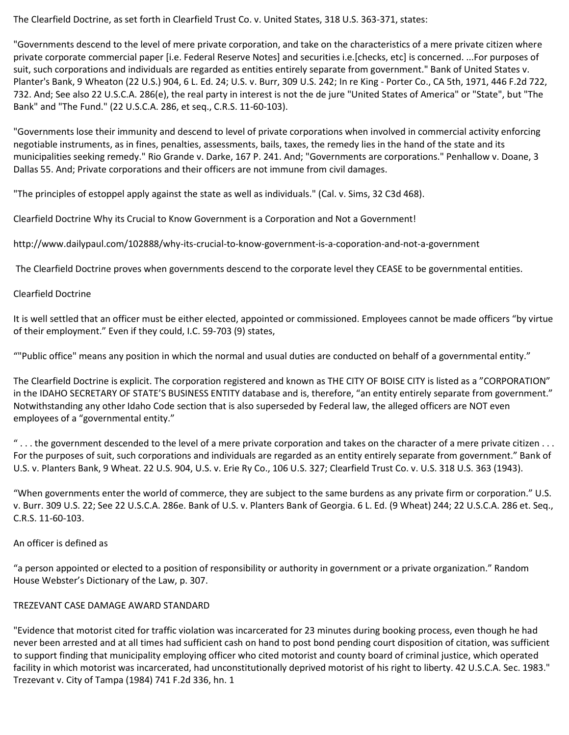The Clearfield Doctrine, as set forth in Clearfield Trust Co. v. United States, 318 U.S. 363-371, states:

"Governments descend to the level of mere private corporation, and take on the characteristics of a mere private citizen where private corporate commercial paper [i.e. Federal Reserve Notes] and securities i.e.[checks, etc] is concerned. ...For purposes of suit, such corporations and individuals are regarded as entities entirely separate from government." Bank of United States v. Planter's Bank, 9 Wheaton (22 U.S.) 904, 6 L. Ed. 24; U.S. v. Burr, 309 U.S. 242; In re King - Porter Co., CA 5th, 1971, 446 F.2d 722, 732. And; See also 22 U.S.C.A. 286(e), the real party in interest is not the de jure "United States of America" or "State", but "The Bank" and "The Fund." (22 U.S.C.A. 286, et seq., C.R.S. 11-60-103).

"Governments lose their immunity and descend to level of private corporations when involved in commercial activity enforcing negotiable instruments, as in fines, penalties, assessments, bails, taxes, the remedy lies in the hand of the state and its municipalities seeking remedy." Rio Grande v. Darke, 167 P. 241. And; "Governments are corporations." Penhallow v. Doane, 3 Dallas 55. And; Private corporations and their officers are not immune from civil damages.

"The principles of estoppel apply against the state as well as individuals." (Cal. v. Sims, 32 C3d 468).

Clearfield Doctrine Why its Crucial to Know Government is a Corporation and Not a Government!

http://www.dailypaul.com/102888/why-its-crucial-to-know-government-is-a-coporation-and-not-a-government

The Clearfield Doctrine proves when governments descend to the corporate level they CEASE to be governmental entities.

## Clearfield Doctrine

It is well settled that an officer must be either elected, appointed or commissioned. Employees cannot be made officers "by virtue of their employment." Even if they could, I.C. 59-703 (9) states,

""Public office" means any position in which the normal and usual duties are conducted on behalf of a governmental entity."

The Clearfield Doctrine is explicit. The corporation registered and known as THE CITY OF BOISE CITY is listed as a "CORPORATION" in the IDAHO SECRETARY OF STATE'S BUSINESS ENTITY database and is, therefore, "an entity entirely separate from government." Notwithstanding any other Idaho Code section that is also superseded by Federal law, the alleged officers are NOT even employees of a "governmental entity."

"... the government descended to the level of a mere private corporation and takes on the character of a mere private citizen ... For the purposes of suit, such corporations and individuals are regarded as an entity entirely separate from government." Bank of U.S. v. Planters Bank, 9 Wheat. 22 U.S. 904, U.S. v. Erie Ry Co., 106 U.S. 327; Clearfield Trust Co. v. U.S. 318 U.S. 363 (1943).

"When governments enter the world of commerce, they are subject to the same burdens as any private firm or corporation." U.S. v. Burr. 309 U.S. 22; See 22 U.S.C.A. 286e. Bank of U.S. v. Planters Bank of Georgia. 6 L. Ed. (9 Wheat) 244; 22 U.S.C.A. 286 et. Seq., C.R.S. 11-60-103.

## An officer is defined as

"a person appointed or elected to a position of responsibility or authority in government or a private organization." Random House Webster's Dictionary of the Law, p. 307.

## TREZEVANT CASE DAMAGE AWARD STANDARD

"Evidence that motorist cited for traffic violation was incarcerated for 23 minutes during booking process, even though he had never been arrested and at all times had sufficient cash on hand to post bond pending court disposition of citation, was sufficient to support finding that municipality employing officer who cited motorist and county board of criminal justice, which operated facility in which motorist was incarcerated, had unconstitutionally deprived motorist of his right to liberty. 42 U.S.C.A. Sec. 1983." Trezevant v. City of Tampa (1984) 741 F.2d 336, hn. 1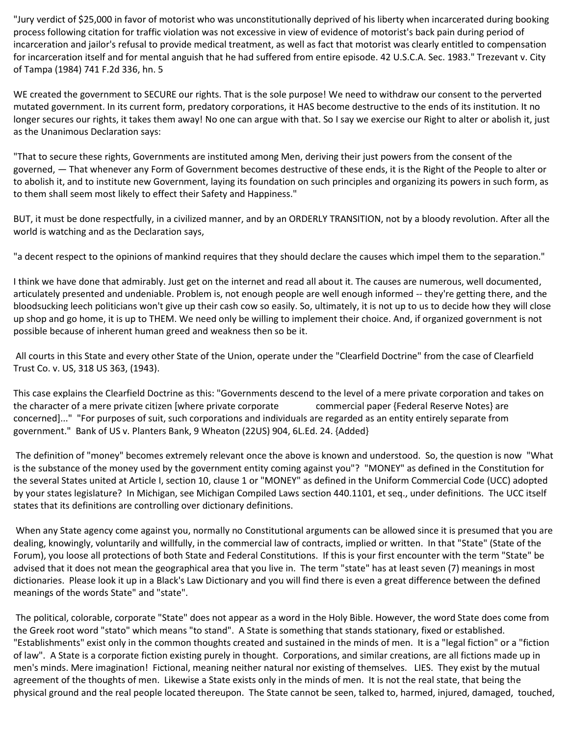"Jury verdict of \$25,000 in favor of motorist who was unconstitutionally deprived of his liberty when incarcerated during booking process following citation for traffic violation was not excessive in view of evidence of motorist's back pain during period of incarceration and jailor's refusal to provide medical treatment, as well as fact that motorist was clearly entitled to compensation for incarceration itself and for mental anguish that he had suffered from entire episode. 42 U.S.C.A. Sec. 1983." Trezevant v. City of Tampa (1984) 741 F.2d 336, hn. 5

WE created the government to SECURE our rights. That is the sole purpose! We need to withdraw our consent to the perverted mutated government. In its current form, predatory corporations, it HAS become destructive to the ends of its institution. It no longer secures our rights, it takes them away! No one can argue with that. So I say we exercise our Right to alter or abolish it, just as the Unanimous Declaration says:

"That to secure these rights, Governments are instituted among Men, deriving their just powers from the consent of the governed, — That whenever any Form of Government becomes destructive of these ends, it is the Right of the People to alter or to abolish it, and to institute new Government, laying its foundation on such principles and organizing its powers in such form, as to them shall seem most likely to effect their Safety and Happiness."

BUT, it must be done respectfully, in a civilized manner, and by an ORDERLY TRANSITION, not by a bloody revolution. After all the world is watching and as the Declaration says,

"a decent respect to the opinions of mankind requires that they should declare the causes which impel them to the separation."

I think we have done that admirably. Just get on the internet and read all about it. The causes are numerous, well documented, articulately presented and undeniable. Problem is, not enough people are well enough informed -- they're getting there, and the bloodsucking leech politicians won't give up their cash cow so easily. So, ultimately, it is not up to us to decide how they will close up shop and go home, it is up to THEM. We need only be willing to implement their choice. And, if organized government is not possible because of inherent human greed and weakness then so be it.

All courts in this State and every other State of the Union, operate under the "Clearfield Doctrine" from the case of Clearfield Trust Co. v. US, 318 US 363, (1943).

This case explains the Clearfield Doctrine as this: "Governments descend to the level of a mere private corporation and takes on the character of a mere private citizen [where private corporate commercial paper {Federal Reserve Notes} are concerned]..." "For purposes of suit, such corporations and individuals are regarded as an entity entirely separate from government." Bank of US v. Planters Bank, 9 Wheaton (22US) 904, 6L.Ed. 24. {Added}

The definition of "money" becomes extremely relevant once the above is known and understood. So, the question is now "What is the substance of the money used by the government entity coming against you"? "MONEY" as defined in the Constitution for the several States united at Article I, section 10, clause 1 or "MONEY" as defined in the Uniform Commercial Code (UCC) adopted by your states legislature? In Michigan, see Michigan Compiled Laws section 440.1101, et seq., under definitions. The UCC itself states that its definitions are controlling over dictionary definitions.

When any State agency come against you, normally no Constitutional arguments can be allowed since it is presumed that you are dealing, knowingly, voluntarily and willfully, in the commercial law of contracts, implied or written. In that "State" (State of the Forum), you loose all protections of both State and Federal Constitutions. If this is your first encounter with the term "State" be advised that it does not mean the geographical area that you live in. The term "state" has at least seven (7) meanings in most dictionaries. Please look it up in a Black's Law Dictionary and you will find there is even a great difference between the defined meanings of the words State" and "state".

The political, colorable, corporate "State" does not appear as a word in the Holy Bible. However, the word State does come from the Greek root word "stato" which means "to stand". A State is something that stands stationary, fixed or established. "Establishments" exist only in the common thoughts created and sustained in the minds of men. It is a "legal fiction" or a "fiction of law". A State is a corporate fiction existing purely in thought. Corporations, and similar creations, are all fictions made up in men's minds. Mere imagination! Fictional, meaning neither natural nor existing of themselves. LIES. They exist by the mutual agreement of the thoughts of men. Likewise a State exists only in the minds of men. It is not the real state, that being the physical ground and the real people located thereupon. The State cannot be seen, talked to, harmed, injured, damaged, touched,